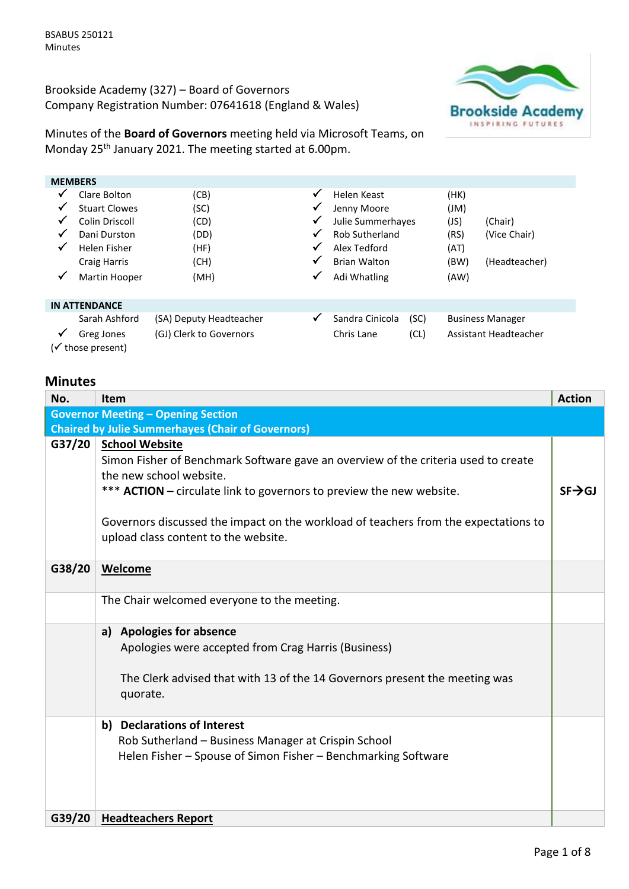Brookside Academy (327) – Board of Governors Company Registration Number: 07641618 (England & Wales)



Minutes of the **Board of Governors** meeting held via Microsoft Teams, on Monday 25th January 2021. The meeting started at 6.00pm.

|              | <b>MEMBERS</b>                  |                         |              |                       |      |      |                         |  |
|--------------|---------------------------------|-------------------------|--------------|-----------------------|------|------|-------------------------|--|
| $\checkmark$ | Clare Bolton                    | (CB)                    | $\checkmark$ | Helen Keast           |      | (HK) |                         |  |
|              | <b>Stuart Clowes</b>            | (SC)                    | ✔            | Jenny Moore           |      | (Ml) |                         |  |
| ✔            | Colin Driscoll                  | (CD)                    | $\checkmark$ | Julie Summerhayes     |      | (JS) | (Chair)                 |  |
| $\checkmark$ | Dani Durston                    | (DD)                    | ✔            | <b>Rob Sutherland</b> |      | (RS) | (Vice Chair)            |  |
| ✓            | Helen Fisher                    | (HF)                    | √            | Alex Tedford          |      | (AT) |                         |  |
|              | <b>Craig Harris</b>             | (CH)                    | $\checkmark$ | <b>Brian Walton</b>   |      | (BW) | (Headteacher)           |  |
| $\checkmark$ | Martin Hooper                   | (MH)                    | ✓            | Adi Whatling          |      | (AW) |                         |  |
|              | <b>IN ATTENDANCE</b>            |                         |              |                       |      |      |                         |  |
|              | Sarah Ashford                   | (SA) Deputy Headteacher | ✓            | Sandra Cinicola       | (SC) |      | <b>Business Manager</b> |  |
| ✔            | Greg Jones<br>(√ those present) | (GJ) Clerk to Governors |              | Chris Lane            | (CL) |      | Assistant Headteacher   |  |

# **Minutes**

| No.    | Item                                                                                                                                                                                                                                                                                                                                          | <b>Action</b>       |
|--------|-----------------------------------------------------------------------------------------------------------------------------------------------------------------------------------------------------------------------------------------------------------------------------------------------------------------------------------------------|---------------------|
|        | <b>Governor Meeting - Opening Section</b>                                                                                                                                                                                                                                                                                                     |                     |
|        | <b>Chaired by Julie Summerhayes (Chair of Governors)</b>                                                                                                                                                                                                                                                                                      |                     |
| G37/20 | <b>School Website</b><br>Simon Fisher of Benchmark Software gave an overview of the criteria used to create<br>the new school website.<br>*** ACTION - circulate link to governors to preview the new website.<br>Governors discussed the impact on the workload of teachers from the expectations to<br>upload class content to the website. | $SF \rightarrow GJ$ |
| G38/20 | Welcome                                                                                                                                                                                                                                                                                                                                       |                     |
|        | The Chair welcomed everyone to the meeting.                                                                                                                                                                                                                                                                                                   |                     |
|        | <b>Apologies for absence</b><br>a)<br>Apologies were accepted from Crag Harris (Business)<br>The Clerk advised that with 13 of the 14 Governors present the meeting was<br>quorate.                                                                                                                                                           |                     |
|        | b) Declarations of Interest<br>Rob Sutherland - Business Manager at Crispin School<br>Helen Fisher - Spouse of Simon Fisher - Benchmarking Software                                                                                                                                                                                           |                     |
| G39/20 | <b>Headteachers Report</b>                                                                                                                                                                                                                                                                                                                    |                     |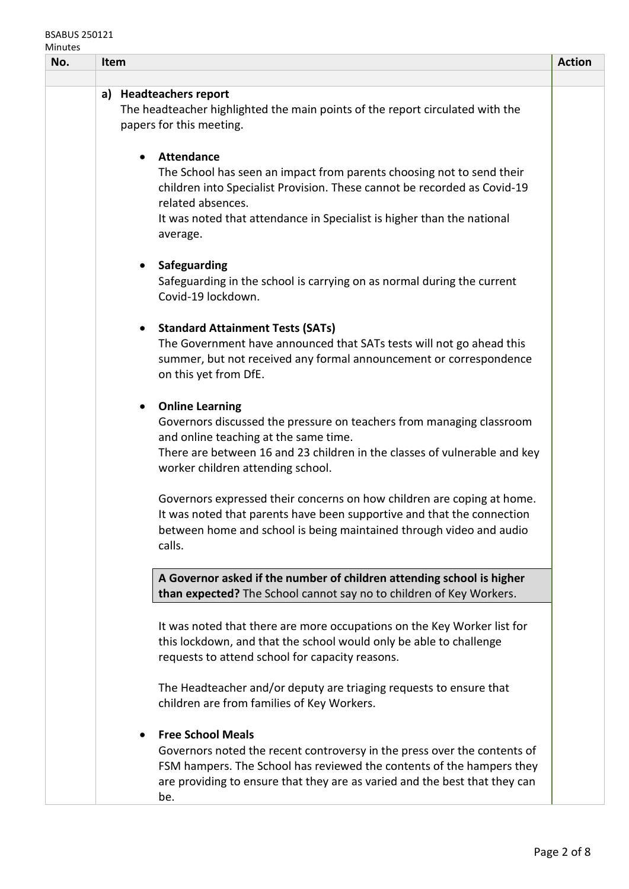## BSABUS 250121 Minutes

| No. | Item                                                                                                                                                                                                                                                                              | <b>Action</b> |
|-----|-----------------------------------------------------------------------------------------------------------------------------------------------------------------------------------------------------------------------------------------------------------------------------------|---------------|
|     |                                                                                                                                                                                                                                                                                   |               |
|     | a) Headteachers report<br>The headteacher highlighted the main points of the report circulated with the<br>papers for this meeting.                                                                                                                                               |               |
|     | <b>Attendance</b><br>The School has seen an impact from parents choosing not to send their<br>children into Specialist Provision. These cannot be recorded as Covid-19<br>related absences.<br>It was noted that attendance in Specialist is higher than the national<br>average. |               |
|     | Safeguarding<br>$\bullet$<br>Safeguarding in the school is carrying on as normal during the current<br>Covid-19 lockdown.                                                                                                                                                         |               |
|     | <b>Standard Attainment Tests (SATs)</b><br>$\bullet$<br>The Government have announced that SATs tests will not go ahead this<br>summer, but not received any formal announcement or correspondence<br>on this yet from DfE.                                                       |               |
|     | <b>Online Learning</b><br>Governors discussed the pressure on teachers from managing classroom<br>and online teaching at the same time.<br>There are between 16 and 23 children in the classes of vulnerable and key<br>worker children attending school.                         |               |
|     | Governors expressed their concerns on how children are coping at home.<br>It was noted that parents have been supportive and that the connection<br>between home and school is being maintained through video and audio<br>calls.                                                 |               |
|     | A Governor asked if the number of children attending school is higher<br>than expected? The School cannot say no to children of Key Workers.                                                                                                                                      |               |
|     | It was noted that there are more occupations on the Key Worker list for<br>this lockdown, and that the school would only be able to challenge<br>requests to attend school for capacity reasons.                                                                                  |               |
|     | The Headteacher and/or deputy are triaging requests to ensure that<br>children are from families of Key Workers.                                                                                                                                                                  |               |
|     | <b>Free School Meals</b><br>Governors noted the recent controversy in the press over the contents of<br>FSM hampers. The School has reviewed the contents of the hampers they<br>are providing to ensure that they are as varied and the best that they can<br>be.                |               |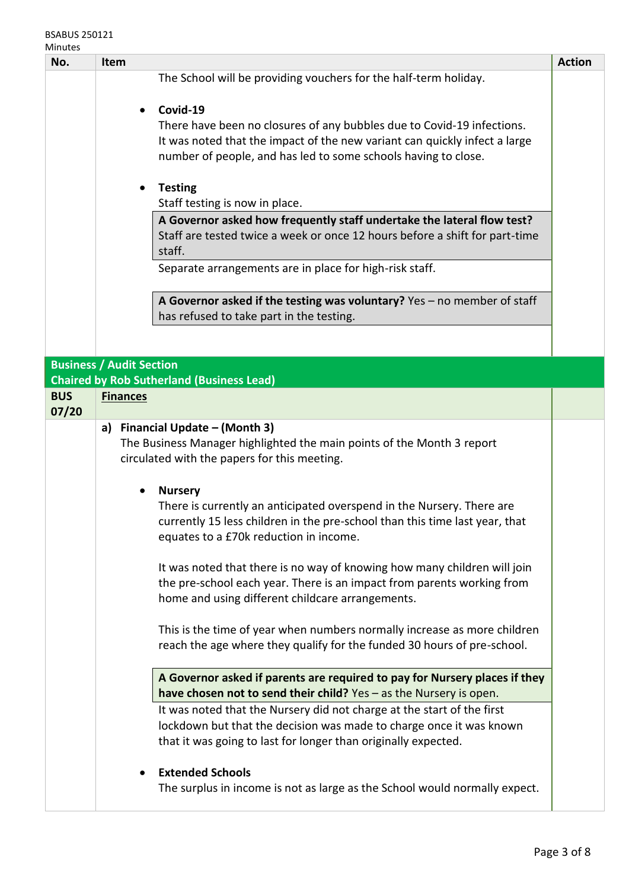#### BSABUS 250121 Minutes

| No.        | <b>Item</b>                     |                                                                             | <b>Action</b> |
|------------|---------------------------------|-----------------------------------------------------------------------------|---------------|
|            |                                 | The School will be providing vouchers for the half-term holiday.            |               |
|            |                                 |                                                                             |               |
|            | $\bullet$                       | Covid-19                                                                    |               |
|            |                                 | There have been no closures of any bubbles due to Covid-19 infections.      |               |
|            |                                 | It was noted that the impact of the new variant can quickly infect a large  |               |
|            |                                 | number of people, and has led to some schools having to close.              |               |
|            | $\bullet$                       | <b>Testing</b>                                                              |               |
|            |                                 | Staff testing is now in place.                                              |               |
|            |                                 | A Governor asked how frequently staff undertake the lateral flow test?      |               |
|            |                                 | Staff are tested twice a week or once 12 hours before a shift for part-time |               |
|            |                                 | staff.                                                                      |               |
|            |                                 | Separate arrangements are in place for high-risk staff.                     |               |
|            |                                 |                                                                             |               |
|            |                                 | A Governor asked if the testing was voluntary? Yes $-$ no member of staff   |               |
|            |                                 | has refused to take part in the testing.                                    |               |
|            |                                 |                                                                             |               |
|            | <b>Business / Audit Section</b> |                                                                             |               |
|            |                                 | <b>Chaired by Rob Sutherland (Business Lead)</b>                            |               |
| <b>BUS</b> | <b>Finances</b>                 |                                                                             |               |
| 07/20      |                                 |                                                                             |               |
|            |                                 | a) Financial Update - (Month 3)                                             |               |
|            |                                 | The Business Manager highlighted the main points of the Month 3 report      |               |
|            |                                 | circulated with the papers for this meeting.                                |               |
|            | $\bullet$                       | <b>Nursery</b>                                                              |               |
|            |                                 | There is currently an anticipated overspend in the Nursery. There are       |               |
|            |                                 | currently 15 less children in the pre-school than this time last year, that |               |
|            |                                 | equates to a £70k reduction in income.                                      |               |
|            |                                 |                                                                             |               |
|            |                                 | It was noted that there is no way of knowing how many children will join    |               |
|            |                                 | the pre-school each year. There is an impact from parents working from      |               |
|            |                                 | home and using different childcare arrangements.                            |               |
|            |                                 | This is the time of year when numbers normally increase as more children    |               |
|            |                                 | reach the age where they qualify for the funded 30 hours of pre-school.     |               |
|            |                                 |                                                                             |               |
|            |                                 | A Governor asked if parents are required to pay for Nursery places if they  |               |
|            |                                 | have chosen not to send their child? Yes - as the Nursery is open.          |               |
|            |                                 | It was noted that the Nursery did not charge at the start of the first      |               |
|            |                                 | lockdown but that the decision was made to charge once it was known         |               |
|            |                                 | that it was going to last for longer than originally expected.              |               |
|            |                                 | <b>Extended Schools</b>                                                     |               |
|            |                                 | The surplus in income is not as large as the School would normally expect.  |               |
|            |                                 |                                                                             |               |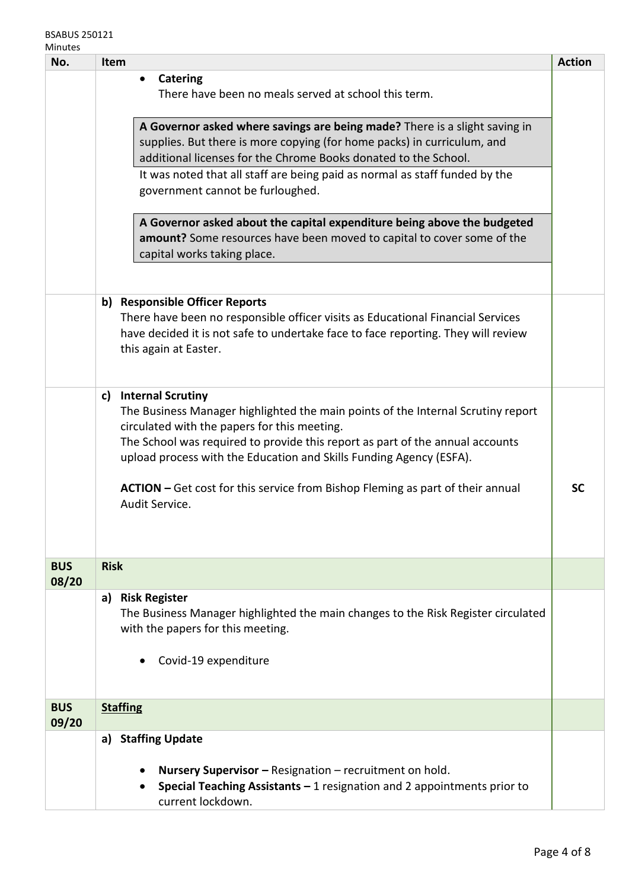| No.                 | Item                                                                                                                                                                                                                                                                                                                                                                                                                           | <b>Action</b> |
|---------------------|--------------------------------------------------------------------------------------------------------------------------------------------------------------------------------------------------------------------------------------------------------------------------------------------------------------------------------------------------------------------------------------------------------------------------------|---------------|
|                     | <b>Catering</b><br>٠<br>There have been no meals served at school this term.                                                                                                                                                                                                                                                                                                                                                   |               |
|                     | A Governor asked where savings are being made? There is a slight saving in<br>supplies. But there is more copying (for home packs) in curriculum, and<br>additional licenses for the Chrome Books donated to the School.                                                                                                                                                                                                       |               |
|                     | It was noted that all staff are being paid as normal as staff funded by the<br>government cannot be furloughed.                                                                                                                                                                                                                                                                                                                |               |
|                     | A Governor asked about the capital expenditure being above the budgeted<br>amount? Some resources have been moved to capital to cover some of the<br>capital works taking place.                                                                                                                                                                                                                                               |               |
|                     | b) Responsible Officer Reports<br>There have been no responsible officer visits as Educational Financial Services<br>have decided it is not safe to undertake face to face reporting. They will review<br>this again at Easter.                                                                                                                                                                                                |               |
|                     | <b>Internal Scrutiny</b><br>c)<br>The Business Manager highlighted the main points of the Internal Scrutiny report<br>circulated with the papers for this meeting.<br>The School was required to provide this report as part of the annual accounts<br>upload process with the Education and Skills Funding Agency (ESFA).<br>ACTION - Get cost for this service from Bishop Fleming as part of their annual<br>Audit Service. | <b>SC</b>     |
| <b>BUS</b><br>08/20 | <b>Risk</b>                                                                                                                                                                                                                                                                                                                                                                                                                    |               |
|                     | <b>Risk Register</b><br>a)<br>The Business Manager highlighted the main changes to the Risk Register circulated<br>with the papers for this meeting.<br>Covid-19 expenditure                                                                                                                                                                                                                                                   |               |
| <b>BUS</b><br>09/20 | <b>Staffing</b>                                                                                                                                                                                                                                                                                                                                                                                                                |               |
|                     | <b>Staffing Update</b><br>a)<br>Nursery Supervisor - Resignation - recruitment on hold.<br><b>Special Teaching Assistants - 1 resignation and 2 appointments prior to</b><br>current lockdown.                                                                                                                                                                                                                                 |               |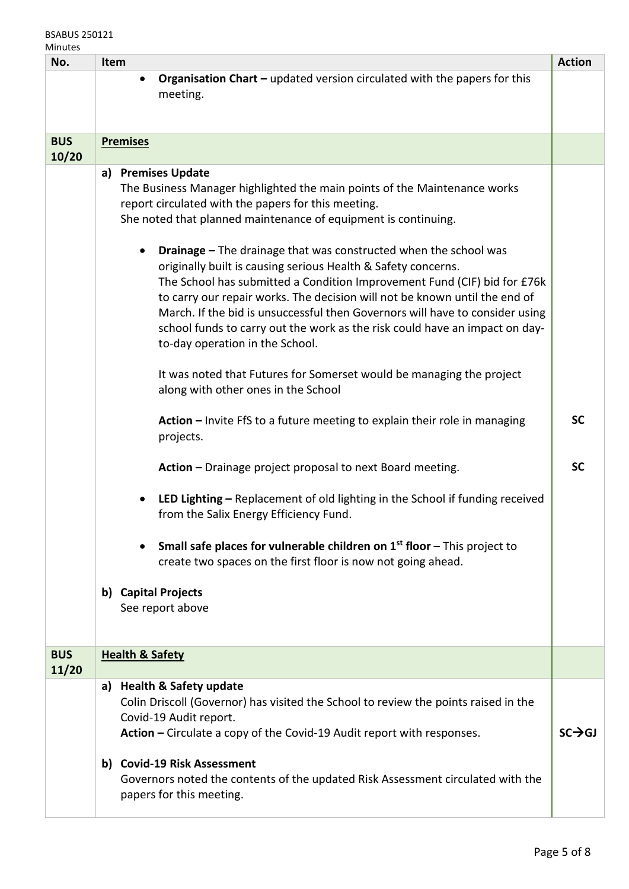## BSABUS 250121 Minutes

| No.                 | <b>Action</b><br>Item                                                                                                                                                                                                                                                                                                                                                                                                                                                                                                                                                                                                                                                                                                                                                                                                                                                                                                                                                                                                                                                                                                                                                                                                                                                                                                     |                        |  |
|---------------------|---------------------------------------------------------------------------------------------------------------------------------------------------------------------------------------------------------------------------------------------------------------------------------------------------------------------------------------------------------------------------------------------------------------------------------------------------------------------------------------------------------------------------------------------------------------------------------------------------------------------------------------------------------------------------------------------------------------------------------------------------------------------------------------------------------------------------------------------------------------------------------------------------------------------------------------------------------------------------------------------------------------------------------------------------------------------------------------------------------------------------------------------------------------------------------------------------------------------------------------------------------------------------------------------------------------------------|------------------------|--|
|                     | <b>Organisation Chart - updated version circulated with the papers for this</b><br>meeting.                                                                                                                                                                                                                                                                                                                                                                                                                                                                                                                                                                                                                                                                                                                                                                                                                                                                                                                                                                                                                                                                                                                                                                                                                               |                        |  |
| <b>BUS</b><br>10/20 | <b>Premises</b>                                                                                                                                                                                                                                                                                                                                                                                                                                                                                                                                                                                                                                                                                                                                                                                                                                                                                                                                                                                                                                                                                                                                                                                                                                                                                                           |                        |  |
|                     | a) Premises Update<br>The Business Manager highlighted the main points of the Maintenance works<br>report circulated with the papers for this meeting.<br>She noted that planned maintenance of equipment is continuing.<br><b>Drainage - The drainage that was constructed when the school was</b><br>originally built is causing serious Health & Safety concerns.<br>The School has submitted a Condition Improvement Fund (CIF) bid for £76k<br>to carry our repair works. The decision will not be known until the end of<br>March. If the bid is unsuccessful then Governors will have to consider using<br>school funds to carry out the work as the risk could have an impact on day-<br>to-day operation in the School.<br>It was noted that Futures for Somerset would be managing the project<br>along with other ones in the School<br>Action - Invite FfS to a future meeting to explain their role in managing<br>projects.<br>Action - Drainage project proposal to next Board meeting.<br>LED Lighting - Replacement of old lighting in the School if funding received<br>from the Salix Energy Efficiency Fund.<br>Small safe places for vulnerable children on $1st$ floor - This project to<br>create two spaces on the first floor is now not going ahead.<br>b) Capital Projects<br>See report above | <b>SC</b><br><b>SC</b> |  |
| <b>BUS</b><br>11/20 | <b>Health &amp; Safety</b>                                                                                                                                                                                                                                                                                                                                                                                                                                                                                                                                                                                                                                                                                                                                                                                                                                                                                                                                                                                                                                                                                                                                                                                                                                                                                                |                        |  |
|                     | <b>Health &amp; Safety update</b><br>a)<br>Colin Driscoll (Governor) has visited the School to review the points raised in the<br>Covid-19 Audit report.<br>Action - Circulate a copy of the Covid-19 Audit report with responses.<br>b) Covid-19 Risk Assessment<br>Governors noted the contents of the updated Risk Assessment circulated with the<br>papers for this meeting.                                                                                                                                                                                                                                                                                                                                                                                                                                                                                                                                                                                                                                                                                                                                                                                                                                                                                                                                          | $SC \rightarrow GJ$    |  |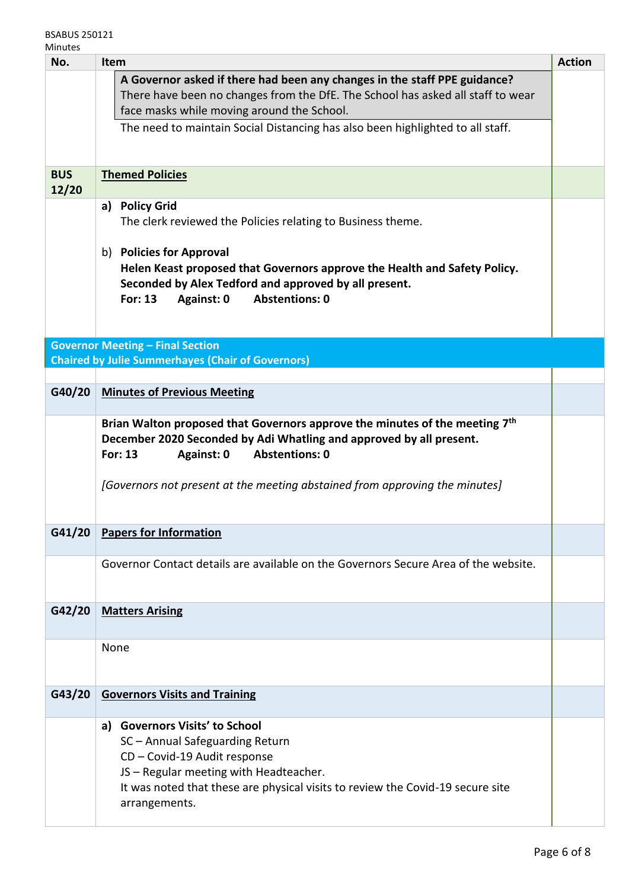| No.        | <b>Action</b><br><b>Item</b>                                                            |  |  |
|------------|-----------------------------------------------------------------------------------------|--|--|
|            | A Governor asked if there had been any changes in the staff PPE guidance?               |  |  |
|            | There have been no changes from the DfE. The School has asked all staff to wear         |  |  |
|            | face masks while moving around the School.                                              |  |  |
|            | The need to maintain Social Distancing has also been highlighted to all staff.          |  |  |
|            |                                                                                         |  |  |
| <b>BUS</b> | <b>Themed Policies</b>                                                                  |  |  |
| 12/20      |                                                                                         |  |  |
|            | a) Policy Grid                                                                          |  |  |
|            | The clerk reviewed the Policies relating to Business theme.                             |  |  |
|            | b) Policies for Approval                                                                |  |  |
|            | Helen Keast proposed that Governors approve the Health and Safety Policy.               |  |  |
|            | Seconded by Alex Tedford and approved by all present.                                   |  |  |
|            | <b>Abstentions: 0</b><br><b>For: 13</b><br>Against: 0                                   |  |  |
|            |                                                                                         |  |  |
|            | <b>Governor Meeting - Final Section</b>                                                 |  |  |
|            | <b>Chaired by Julie Summerhayes (Chair of Governors)</b>                                |  |  |
|            |                                                                                         |  |  |
| G40/20     | <b>Minutes of Previous Meeting</b>                                                      |  |  |
|            | Brian Walton proposed that Governors approve the minutes of the meeting 7 <sup>th</sup> |  |  |
|            | December 2020 Seconded by Adi Whatling and approved by all present.                     |  |  |
|            | <b>Abstentions: 0</b><br>Against: 0<br><b>For: 13</b>                                   |  |  |
|            |                                                                                         |  |  |
|            | [Governors not present at the meeting abstained from approving the minutes]             |  |  |
|            |                                                                                         |  |  |
| G41/20     | <b>Papers for Information</b>                                                           |  |  |
|            |                                                                                         |  |  |
|            | Governor Contact details are available on the Governors Secure Area of the website.     |  |  |
|            |                                                                                         |  |  |
|            |                                                                                         |  |  |
| G42/20     | <b>Matters Arising</b>                                                                  |  |  |
|            |                                                                                         |  |  |
|            | None                                                                                    |  |  |
|            |                                                                                         |  |  |
| G43/20     | <b>Governors Visits and Training</b>                                                    |  |  |
|            |                                                                                         |  |  |
|            | <b>Governors Visits' to School</b><br>a)                                                |  |  |
|            | SC - Annual Safeguarding Return                                                         |  |  |
|            | CD - Covid-19 Audit response<br>JS - Regular meeting with Headteacher.                  |  |  |
|            | It was noted that these are physical visits to review the Covid-19 secure site          |  |  |
|            | arrangements.                                                                           |  |  |
|            |                                                                                         |  |  |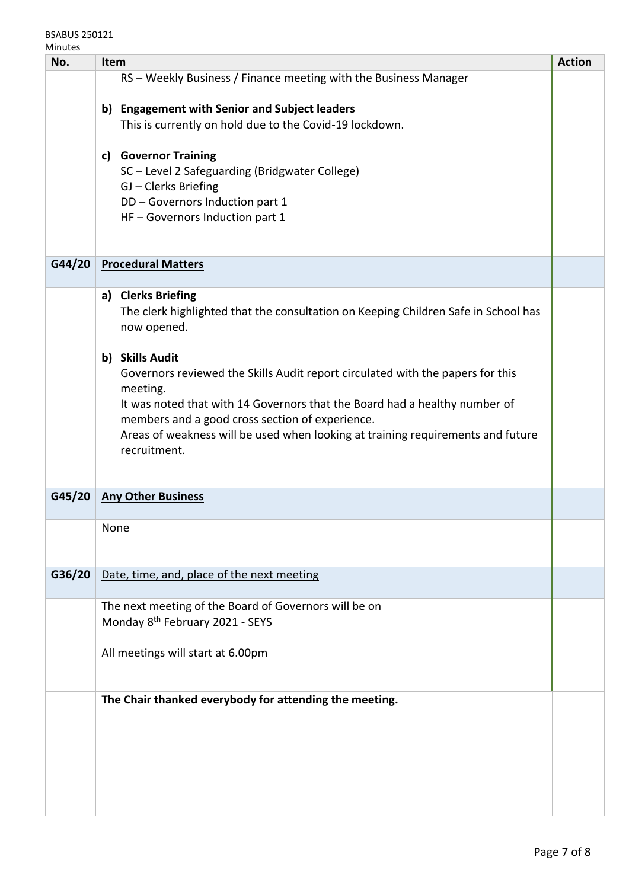| No.    | <b>Action</b><br>Item                                                                                                                                                                                                                                                                                                                             |  |  |
|--------|---------------------------------------------------------------------------------------------------------------------------------------------------------------------------------------------------------------------------------------------------------------------------------------------------------------------------------------------------|--|--|
|        | RS - Weekly Business / Finance meeting with the Business Manager                                                                                                                                                                                                                                                                                  |  |  |
|        | <b>Engagement with Senior and Subject leaders</b><br>b)<br>This is currently on hold due to the Covid-19 lockdown.                                                                                                                                                                                                                                |  |  |
|        | c) Governor Training<br>SC-Level 2 Safeguarding (Bridgwater College)<br>GJ - Clerks Briefing<br>DD - Governors Induction part 1<br>HF - Governors Induction part 1                                                                                                                                                                                |  |  |
| G44/20 | <b>Procedural Matters</b>                                                                                                                                                                                                                                                                                                                         |  |  |
|        | a) Clerks Briefing<br>The clerk highlighted that the consultation on Keeping Children Safe in School has<br>now opened.                                                                                                                                                                                                                           |  |  |
|        | b) Skills Audit<br>Governors reviewed the Skills Audit report circulated with the papers for this<br>meeting.<br>It was noted that with 14 Governors that the Board had a healthy number of<br>members and a good cross section of experience.<br>Areas of weakness will be used when looking at training requirements and future<br>recruitment. |  |  |
| G45/20 | <b>Any Other Business</b>                                                                                                                                                                                                                                                                                                                         |  |  |
|        | None                                                                                                                                                                                                                                                                                                                                              |  |  |
| G36/20 | Date, time, and, place of the next meeting                                                                                                                                                                                                                                                                                                        |  |  |
|        | The next meeting of the Board of Governors will be on<br>Monday 8 <sup>th</sup> February 2021 - SEYS                                                                                                                                                                                                                                              |  |  |
|        | All meetings will start at 6.00pm                                                                                                                                                                                                                                                                                                                 |  |  |
|        | The Chair thanked everybody for attending the meeting.                                                                                                                                                                                                                                                                                            |  |  |